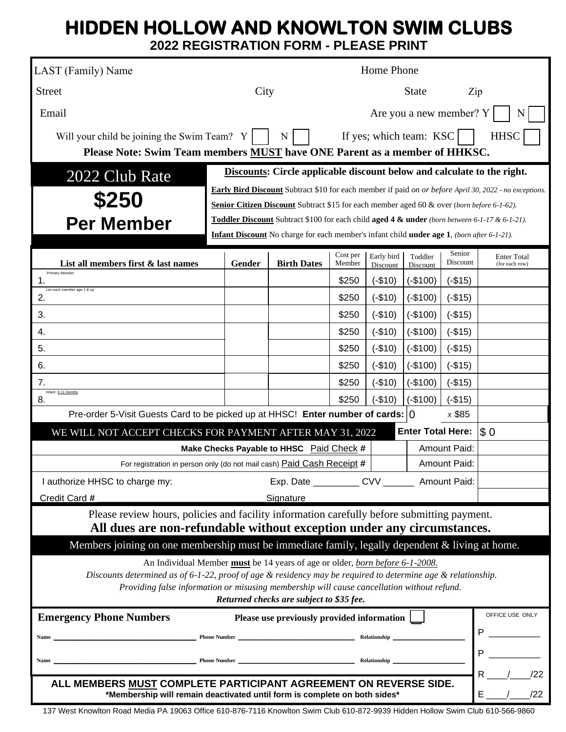## **HIDDEN HOLLOW AND KNOWLTON SWIM CLUBS**

**2022 REGISTRATION FORM - PLEASE PRINT**

| LAST (Family) Name                                                                                                                                                                                                                                  | Home Phone                                                                                                                                                                                                    |                                                                                |                                                     |                        |                         |                    |    |                                      |  |
|-----------------------------------------------------------------------------------------------------------------------------------------------------------------------------------------------------------------------------------------------------|---------------------------------------------------------------------------------------------------------------------------------------------------------------------------------------------------------------|--------------------------------------------------------------------------------|-----------------------------------------------------|------------------------|-------------------------|--------------------|----|--------------------------------------|--|
| <b>Street</b>                                                                                                                                                                                                                                       | City                                                                                                                                                                                                          |                                                                                | <b>State</b>                                        |                        |                         | Zip                |    |                                      |  |
| Email                                                                                                                                                                                                                                               |                                                                                                                                                                                                               |                                                                                |                                                     |                        | Are you a new member? Y |                    |    |                                      |  |
| <b>HHSC</b><br>Will your child be joining the Swim Team?<br>If yes; which team: KSC<br>$\mathbf N$<br>Y                                                                                                                                             |                                                                                                                                                                                                               |                                                                                |                                                     |                        |                         |                    |    |                                      |  |
| Please Note: Swim Team members <b>MUST</b> have ONE Parent as a member of HHKSC.                                                                                                                                                                    |                                                                                                                                                                                                               |                                                                                |                                                     |                        |                         |                    |    |                                      |  |
| 2022 Club Rate                                                                                                                                                                                                                                      |                                                                                                                                                                                                               | <b>Discounts:</b> Circle applicable discount below and calculate to the right. |                                                     |                        |                         |                    |    |                                      |  |
|                                                                                                                                                                                                                                                     | Early Bird Discount Subtract \$10 for each member if paid on or before April 30, 2022 - no exceptions.<br>\$250<br>Senior Citizen Discount Subtract \$15 for each member aged 60 & over (born before 6-1-62). |                                                                                |                                                     |                        |                         |                    |    |                                      |  |
|                                                                                                                                                                                                                                                     |                                                                                                                                                                                                               |                                                                                |                                                     |                        |                         |                    |    |                                      |  |
| <b>Per Member</b>                                                                                                                                                                                                                                   | <b>Toddler Discount</b> Subtract \$100 for each child <b>aged 4 &amp; under</b> (born between 6-1-17 & 6-1-21).                                                                                               |                                                                                |                                                     |                        |                         |                    |    |                                      |  |
| <b>Infant Discount</b> No charge for each member's infant child <b>under age 1</b> , <i>(born after 6-1-21)</i> .                                                                                                                                   |                                                                                                                                                                                                               |                                                                                |                                                     |                        |                         |                    |    |                                      |  |
| List all members first & last names                                                                                                                                                                                                                 | Gender                                                                                                                                                                                                        | <b>Birth Dates</b>                                                             | Cost per<br>Member                                  | Early bird<br>Discount | Toddler<br>Discount     | Senior<br>Discount |    | <b>Enter Total</b><br>(for each row) |  |
| Primary Member<br>1.                                                                                                                                                                                                                                |                                                                                                                                                                                                               |                                                                                | \$250                                               | $(-$10)$               | $(-$100)$               | $(-$15)$           |    |                                      |  |
| List each member age 1 & up<br>2.                                                                                                                                                                                                                   |                                                                                                                                                                                                               |                                                                                | \$250                                               | $(-$10)$               | $(-$100)$               | $(-$15)$           |    |                                      |  |
| 3.                                                                                                                                                                                                                                                  |                                                                                                                                                                                                               |                                                                                | \$250                                               | $(-$10)$               | $(-$100)$               | $(-$15)$           |    |                                      |  |
| 4.                                                                                                                                                                                                                                                  |                                                                                                                                                                                                               |                                                                                | \$250                                               | $(-$10)$               | $(-$100)$               | $(-$15)$           |    |                                      |  |
| 5.                                                                                                                                                                                                                                                  |                                                                                                                                                                                                               |                                                                                | \$250                                               | $(-$10)$               | $(-$100)$               | $(-$15)$           |    |                                      |  |
| 6.                                                                                                                                                                                                                                                  |                                                                                                                                                                                                               |                                                                                | \$250                                               | $(-$10)$               | $(-$100)$               | $(-$15)$           |    |                                      |  |
| 7.<br>Infant: 0-11 months                                                                                                                                                                                                                           |                                                                                                                                                                                                               |                                                                                | \$250                                               | $(-$10)$               | $(-$100)$               | $(-$15)$           |    |                                      |  |
| 8.                                                                                                                                                                                                                                                  |                                                                                                                                                                                                               |                                                                                | \$250                                               | $(-$10)$               | $(-$100)$               | $(-$15)$           |    |                                      |  |
| Pre-order 5-Visit Guests Card to be picked up at HHSC! Enter number of cards: 0<br>x \$85                                                                                                                                                           |                                                                                                                                                                                                               |                                                                                |                                                     |                        |                         |                    |    |                                      |  |
| <b>Enter Total Here:</b><br>$\sqrt{3}0$<br>WE WILL NOT ACCEPT CHECKS FOR PAYMENT AFTER MAY 31, 2022                                                                                                                                                 |                                                                                                                                                                                                               |                                                                                |                                                     |                        |                         |                    |    |                                      |  |
| Make Checks Payable to HHSC Paid Check #<br><b>Amount Paid:</b><br>For registration in person only (do not mail cash) Paid Cash Receipt #                                                                                                           |                                                                                                                                                                                                               |                                                                                |                                                     |                        |                         |                    |    |                                      |  |
|                                                                                                                                                                                                                                                     |                                                                                                                                                                                                               |                                                                                | <b>Amount Paid:</b>                                 |                        |                         |                    |    |                                      |  |
| I authorize HHSC to charge my:                                                                                                                                                                                                                      |                                                                                                                                                                                                               |                                                                                | Exp. Date _____________ CVV __________ Amount Paid: |                        |                         |                    |    |                                      |  |
| Credit Card #<br>Signature<br>Please review hours, policies and facility information carefully before submitting payment.                                                                                                                           |                                                                                                                                                                                                               |                                                                                |                                                     |                        |                         |                    |    |                                      |  |
|                                                                                                                                                                                                                                                     |                                                                                                                                                                                                               |                                                                                |                                                     |                        |                         |                    |    |                                      |  |
| All dues are non-refundable without exception under any circumstances.<br>Members joining on one membership must be immediate family, legally dependent & living at home.                                                                           |                                                                                                                                                                                                               |                                                                                |                                                     |                        |                         |                    |    |                                      |  |
| An Individual Member must be 14 years of age or older, born before 6-1-2008.                                                                                                                                                                        |                                                                                                                                                                                                               |                                                                                |                                                     |                        |                         |                    |    |                                      |  |
| Discounts determined as of 6-1-22, proof of age $\&$ residency may be required to determine age $\&$ relationship.                                                                                                                                  |                                                                                                                                                                                                               |                                                                                |                                                     |                        |                         |                    |    |                                      |  |
| Providing false information or misusing membership will cause cancellation without refund.<br>Returned checks are subject to \$35 fee.                                                                                                              |                                                                                                                                                                                                               |                                                                                |                                                     |                        |                         |                    |    |                                      |  |
| <b>Emergency Phone Numbers</b>                                                                                                                                                                                                                      |                                                                                                                                                                                                               |                                                                                |                                                     |                        |                         |                    |    | OFFICE USE ONLY                      |  |
|                                                                                                                                                                                                                                                     | Please use previously provided information                                                                                                                                                                    |                                                                                |                                                     |                        |                         |                    |    |                                      |  |
|                                                                                                                                                                                                                                                     |                                                                                                                                                                                                               |                                                                                |                                                     |                        |                         |                    | P  |                                      |  |
| <b>Phone Number 2008 Contract 2008 Contract 2008 Contract 2008 Contract 2008 Contract 2008 Contract 2008 Contract 2008 Contract 2008 Contract 2008 Contract 2008 Contract 2008 Contract 2008 Contract 2008 Contract 2008 Contrac</b><br><b>Name</b> |                                                                                                                                                                                                               |                                                                                |                                                     |                        |                         |                    |    |                                      |  |
| ALL MEMBERS MUST COMPLETE PARTICIPANT AGREEMENT ON REVERSE SIDE.<br>*Membership will remain deactivated until form is complete on both sides*                                                                                                       |                                                                                                                                                                                                               |                                                                                |                                                     |                        |                         |                    | E. | /22                                  |  |
|                                                                                                                                                                                                                                                     |                                                                                                                                                                                                               |                                                                                |                                                     |                        |                         |                    |    |                                      |  |

137 West Knowlton Road Media PA 19063 Office 610-876-7116 Knowlton Swim Club 610-872-9939 Hidden Hollow Swim Club 610-566-9860